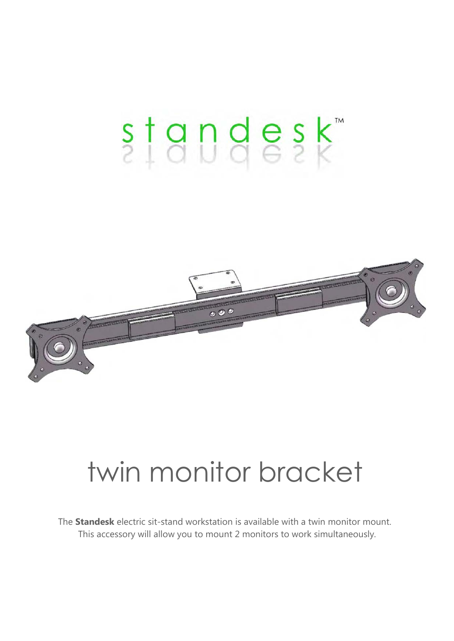# standesk



## twin monitor bracket

The **Standesk** electric sit-stand workstation is available with a twin monitor mount. This accessory will allow you to mount 2 monitors to work simultaneously.